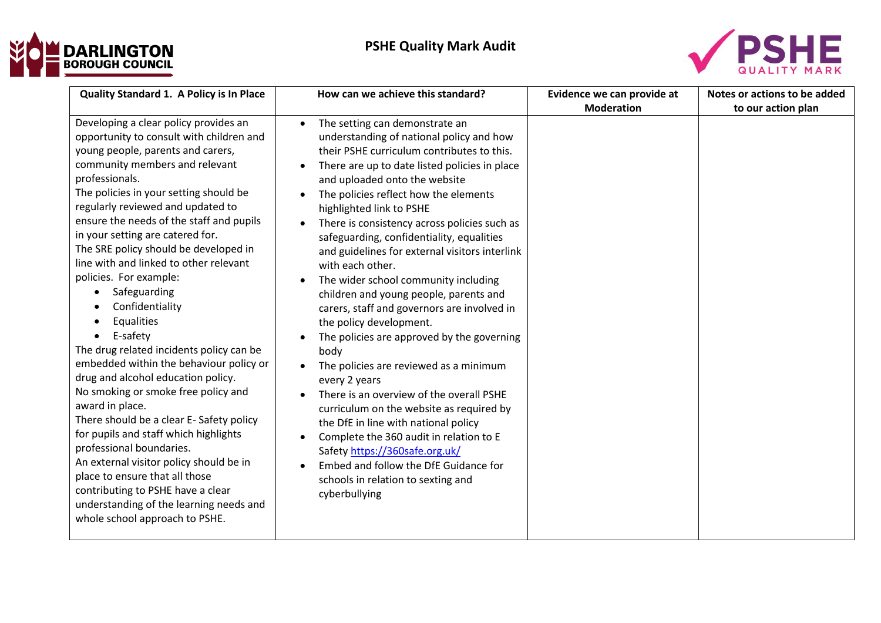



| Quality Standard 1. A Policy is In Place                                                                                                                                                                                                                                                                                                                                                                                                                                                                                                                                                                                                                                                                                                                                                                                                                                                                                                                                                                                  | How can we achieve this standard?                                                                                                                                                                                                                                                                                                                                                                                                                                                                                                                                                                                                                                                                                                                                                                                                                                                                                                                                                                                                                         | Evidence we can provide at | Notes or actions to be added |
|---------------------------------------------------------------------------------------------------------------------------------------------------------------------------------------------------------------------------------------------------------------------------------------------------------------------------------------------------------------------------------------------------------------------------------------------------------------------------------------------------------------------------------------------------------------------------------------------------------------------------------------------------------------------------------------------------------------------------------------------------------------------------------------------------------------------------------------------------------------------------------------------------------------------------------------------------------------------------------------------------------------------------|-----------------------------------------------------------------------------------------------------------------------------------------------------------------------------------------------------------------------------------------------------------------------------------------------------------------------------------------------------------------------------------------------------------------------------------------------------------------------------------------------------------------------------------------------------------------------------------------------------------------------------------------------------------------------------------------------------------------------------------------------------------------------------------------------------------------------------------------------------------------------------------------------------------------------------------------------------------------------------------------------------------------------------------------------------------|----------------------------|------------------------------|
|                                                                                                                                                                                                                                                                                                                                                                                                                                                                                                                                                                                                                                                                                                                                                                                                                                                                                                                                                                                                                           |                                                                                                                                                                                                                                                                                                                                                                                                                                                                                                                                                                                                                                                                                                                                                                                                                                                                                                                                                                                                                                                           | <b>Moderation</b>          | to our action plan           |
| Developing a clear policy provides an<br>opportunity to consult with children and<br>young people, parents and carers,<br>community members and relevant<br>professionals.<br>The policies in your setting should be<br>regularly reviewed and updated to<br>ensure the needs of the staff and pupils<br>in your setting are catered for.<br>The SRE policy should be developed in<br>line with and linked to other relevant<br>policies. For example:<br>Safeguarding<br>Confidentiality<br>Equalities<br>E-safety<br>The drug related incidents policy can be<br>embedded within the behaviour policy or<br>drug and alcohol education policy.<br>No smoking or smoke free policy and<br>award in place.<br>There should be a clear E-Safety policy<br>for pupils and staff which highlights<br>professional boundaries.<br>An external visitor policy should be in<br>place to ensure that all those<br>contributing to PSHE have a clear<br>understanding of the learning needs and<br>whole school approach to PSHE. | The setting can demonstrate an<br>$\bullet$<br>understanding of national policy and how<br>their PSHE curriculum contributes to this.<br>There are up to date listed policies in place<br>and uploaded onto the website<br>The policies reflect how the elements<br>highlighted link to PSHE<br>There is consistency across policies such as<br>safeguarding, confidentiality, equalities<br>and guidelines for external visitors interlink<br>with each other.<br>The wider school community including<br>children and young people, parents and<br>carers, staff and governors are involved in<br>the policy development.<br>The policies are approved by the governing<br>body<br>The policies are reviewed as a minimum<br>every 2 years<br>There is an overview of the overall PSHE<br>curriculum on the website as required by<br>the DfE in line with national policy<br>Complete the 360 audit in relation to E<br>Safety https://360safe.org.uk/<br>Embed and follow the DfE Guidance for<br>schools in relation to sexting and<br>cyberbullying |                            |                              |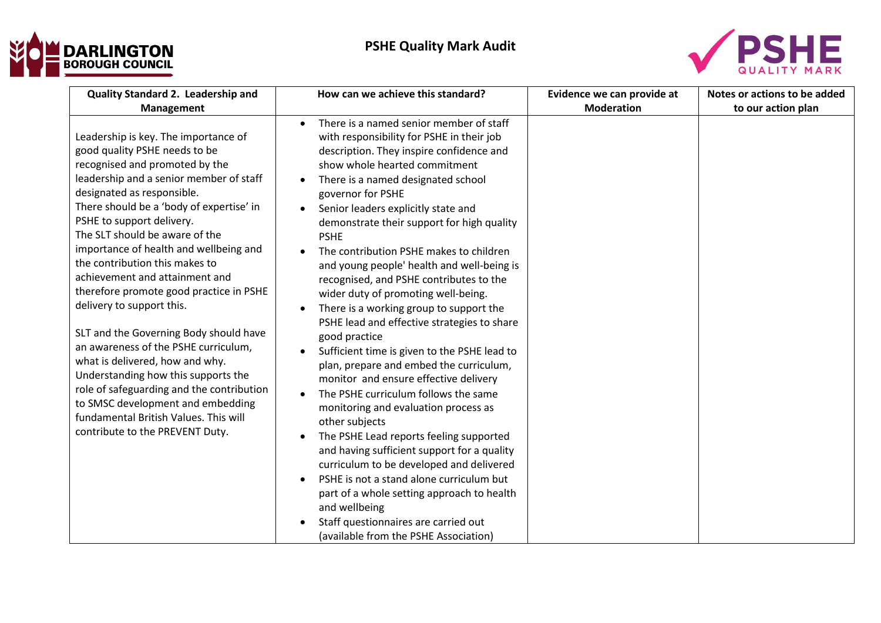



| Quality Standard 2. Leadership and                                                                                                                                                                                                                                                                                                                                                                                                                                                                                                                                                                                                                                                                                                                                                                                        | How can we achieve this standard?                                                                                                                                                                                                                                                                                                                                                                                                                                                                                                                                                                                                                                                                                                                                                                                                                                                                                                                                                                                                                                                                                                                                                                                                                               | Evidence we can provide at<br><b>Moderation</b> | Notes or actions to be added |
|---------------------------------------------------------------------------------------------------------------------------------------------------------------------------------------------------------------------------------------------------------------------------------------------------------------------------------------------------------------------------------------------------------------------------------------------------------------------------------------------------------------------------------------------------------------------------------------------------------------------------------------------------------------------------------------------------------------------------------------------------------------------------------------------------------------------------|-----------------------------------------------------------------------------------------------------------------------------------------------------------------------------------------------------------------------------------------------------------------------------------------------------------------------------------------------------------------------------------------------------------------------------------------------------------------------------------------------------------------------------------------------------------------------------------------------------------------------------------------------------------------------------------------------------------------------------------------------------------------------------------------------------------------------------------------------------------------------------------------------------------------------------------------------------------------------------------------------------------------------------------------------------------------------------------------------------------------------------------------------------------------------------------------------------------------------------------------------------------------|-------------------------------------------------|------------------------------|
| Management<br>Leadership is key. The importance of<br>good quality PSHE needs to be<br>recognised and promoted by the<br>leadership and a senior member of staff<br>designated as responsible.<br>There should be a 'body of expertise' in<br>PSHE to support delivery.<br>The SLT should be aware of the<br>importance of health and wellbeing and<br>the contribution this makes to<br>achievement and attainment and<br>therefore promote good practice in PSHE<br>delivery to support this.<br>SLT and the Governing Body should have<br>an awareness of the PSHE curriculum,<br>what is delivered, how and why.<br>Understanding how this supports the<br>role of safeguarding and the contribution<br>to SMSC development and embedding<br>fundamental British Values. This will<br>contribute to the PREVENT Duty. | There is a named senior member of staff<br>$\bullet$<br>with responsibility for PSHE in their job<br>description. They inspire confidence and<br>show whole hearted commitment<br>There is a named designated school<br>$\bullet$<br>governor for PSHE<br>Senior leaders explicitly state and<br>$\bullet$<br>demonstrate their support for high quality<br><b>PSHE</b><br>The contribution PSHE makes to children<br>and young people' health and well-being is<br>recognised, and PSHE contributes to the<br>wider duty of promoting well-being.<br>There is a working group to support the<br>PSHE lead and effective strategies to share<br>good practice<br>Sufficient time is given to the PSHE lead to<br>$\bullet$<br>plan, prepare and embed the curriculum,<br>monitor and ensure effective delivery<br>The PSHE curriculum follows the same<br>monitoring and evaluation process as<br>other subjects<br>The PSHE Lead reports feeling supported<br>$\bullet$<br>and having sufficient support for a quality<br>curriculum to be developed and delivered<br>PSHE is not a stand alone curriculum but<br>part of a whole setting approach to health<br>and wellbeing<br>Staff questionnaires are carried out<br>(available from the PSHE Association) |                                                 | to our action plan           |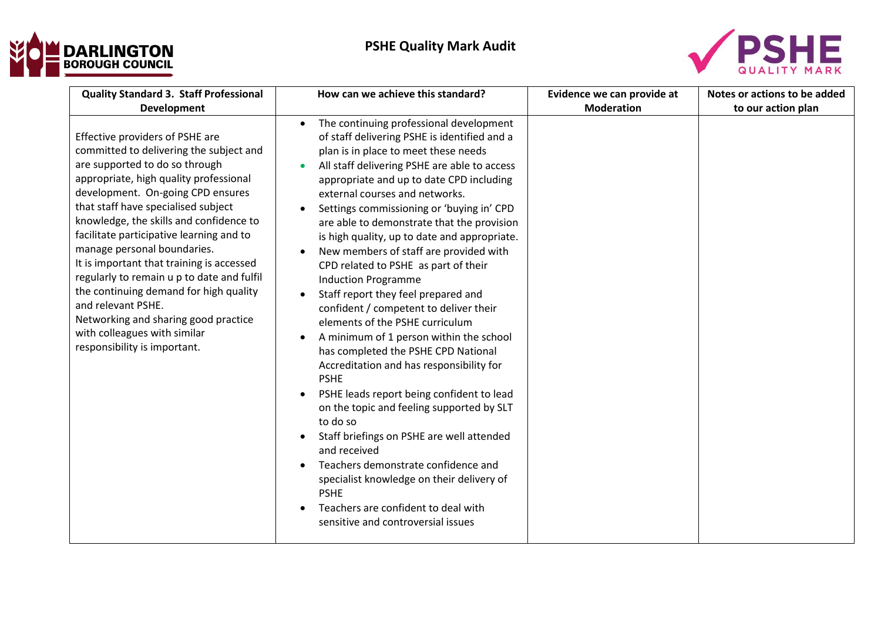



| <b>Quality Standard 3. Staff Professional</b>                                                                                                                                                                                                                                                                                                                                                                                                                                                                                                                                                                                              | How can we achieve this standard?                                                                                                                                                                                                                                                                                                                                                                                                                                                                                                                                                                                                                                                                                                                                                                                                                                                                                                                                                                                                                                                                                                                                                                | Evidence we can provide at<br><b>Moderation</b> | Notes or actions to be added |
|--------------------------------------------------------------------------------------------------------------------------------------------------------------------------------------------------------------------------------------------------------------------------------------------------------------------------------------------------------------------------------------------------------------------------------------------------------------------------------------------------------------------------------------------------------------------------------------------------------------------------------------------|--------------------------------------------------------------------------------------------------------------------------------------------------------------------------------------------------------------------------------------------------------------------------------------------------------------------------------------------------------------------------------------------------------------------------------------------------------------------------------------------------------------------------------------------------------------------------------------------------------------------------------------------------------------------------------------------------------------------------------------------------------------------------------------------------------------------------------------------------------------------------------------------------------------------------------------------------------------------------------------------------------------------------------------------------------------------------------------------------------------------------------------------------------------------------------------------------|-------------------------------------------------|------------------------------|
| Development<br>Effective providers of PSHE are<br>committed to delivering the subject and<br>are supported to do so through<br>appropriate, high quality professional<br>development. On-going CPD ensures<br>that staff have specialised subject<br>knowledge, the skills and confidence to<br>facilitate participative learning and to<br>manage personal boundaries.<br>It is important that training is accessed<br>regularly to remain u p to date and fulfil<br>the continuing demand for high quality<br>and relevant PSHE.<br>Networking and sharing good practice<br>with colleagues with similar<br>responsibility is important. | The continuing professional development<br>$\bullet$<br>of staff delivering PSHE is identified and a<br>plan is in place to meet these needs<br>All staff delivering PSHE are able to access<br>$\bullet$<br>appropriate and up to date CPD including<br>external courses and networks.<br>Settings commissioning or 'buying in' CPD<br>$\bullet$<br>are able to demonstrate that the provision<br>is high quality, up to date and appropriate.<br>New members of staff are provided with<br>$\bullet$<br>CPD related to PSHE as part of their<br><b>Induction Programme</b><br>Staff report they feel prepared and<br>confident / competent to deliver their<br>elements of the PSHE curriculum<br>A minimum of 1 person within the school<br>has completed the PSHE CPD National<br>Accreditation and has responsibility for<br><b>PSHE</b><br>PSHE leads report being confident to lead<br>on the topic and feeling supported by SLT<br>to do so<br>Staff briefings on PSHE are well attended<br>and received<br>Teachers demonstrate confidence and<br>specialist knowledge on their delivery of<br><b>PSHE</b><br>Teachers are confident to deal with<br>sensitive and controversial issues |                                                 | to our action plan           |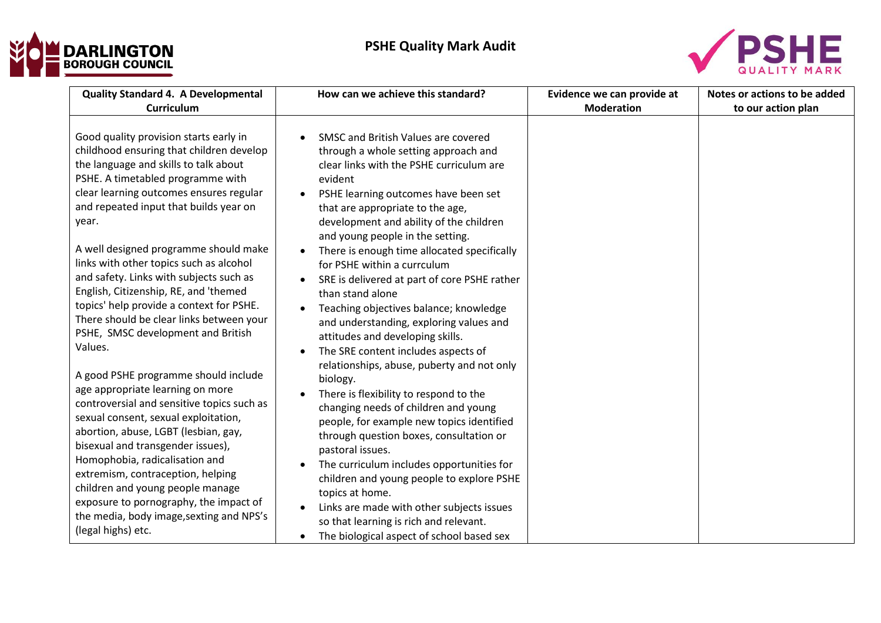



| <b>Quality Standard 4. A Developmental</b>                                                                                                                                                                                                                                                                                                                                                                                                                                                                                                                                                                                                                                                                                                                                                                                                                                                                                                                                                                                                            | How can we achieve this standard?                                                                                                                                                                                                                                                                                                                                                                                                                                                                                                                                                                                                                                                                                                                                                                                                                                                                                                                                                                                                                                                                                                                                                                      | Evidence we can provide at | Notes or actions to be added |
|-------------------------------------------------------------------------------------------------------------------------------------------------------------------------------------------------------------------------------------------------------------------------------------------------------------------------------------------------------------------------------------------------------------------------------------------------------------------------------------------------------------------------------------------------------------------------------------------------------------------------------------------------------------------------------------------------------------------------------------------------------------------------------------------------------------------------------------------------------------------------------------------------------------------------------------------------------------------------------------------------------------------------------------------------------|--------------------------------------------------------------------------------------------------------------------------------------------------------------------------------------------------------------------------------------------------------------------------------------------------------------------------------------------------------------------------------------------------------------------------------------------------------------------------------------------------------------------------------------------------------------------------------------------------------------------------------------------------------------------------------------------------------------------------------------------------------------------------------------------------------------------------------------------------------------------------------------------------------------------------------------------------------------------------------------------------------------------------------------------------------------------------------------------------------------------------------------------------------------------------------------------------------|----------------------------|------------------------------|
| <b>Curriculum</b>                                                                                                                                                                                                                                                                                                                                                                                                                                                                                                                                                                                                                                                                                                                                                                                                                                                                                                                                                                                                                                     |                                                                                                                                                                                                                                                                                                                                                                                                                                                                                                                                                                                                                                                                                                                                                                                                                                                                                                                                                                                                                                                                                                                                                                                                        | <b>Moderation</b>          | to our action plan           |
| Good quality provision starts early in<br>childhood ensuring that children develop<br>the language and skills to talk about<br>PSHE. A timetabled programme with<br>clear learning outcomes ensures regular<br>and repeated input that builds year on<br>year.<br>A well designed programme should make<br>links with other topics such as alcohol<br>and safety. Links with subjects such as<br>English, Citizenship, RE, and 'themed<br>topics' help provide a context for PSHE.<br>There should be clear links between your<br>PSHE, SMSC development and British<br>Values.<br>A good PSHE programme should include<br>age appropriate learning on more<br>controversial and sensitive topics such as<br>sexual consent, sexual exploitation,<br>abortion, abuse, LGBT (lesbian, gay,<br>bisexual and transgender issues),<br>Homophobia, radicalisation and<br>extremism, contraception, helping<br>children and young people manage<br>exposure to pornography, the impact of<br>the media, body image, sexting and NPS's<br>(legal highs) etc. | SMSC and British Values are covered<br>through a whole setting approach and<br>clear links with the PSHE curriculum are<br>evident<br>PSHE learning outcomes have been set<br>$\bullet$<br>that are appropriate to the age,<br>development and ability of the children<br>and young people in the setting.<br>There is enough time allocated specifically<br>for PSHE within a currculum<br>SRE is delivered at part of core PSHE rather<br>than stand alone<br>Teaching objectives balance; knowledge<br>$\bullet$<br>and understanding, exploring values and<br>attitudes and developing skills.<br>The SRE content includes aspects of<br>$\bullet$<br>relationships, abuse, puberty and not only<br>biology.<br>There is flexibility to respond to the<br>$\bullet$<br>changing needs of children and young<br>people, for example new topics identified<br>through question boxes, consultation or<br>pastoral issues.<br>The curriculum includes opportunities for<br>children and young people to explore PSHE<br>topics at home.<br>Links are made with other subjects issues<br>$\bullet$<br>so that learning is rich and relevant.<br>The biological aspect of school based sex<br>$\bullet$ |                            |                              |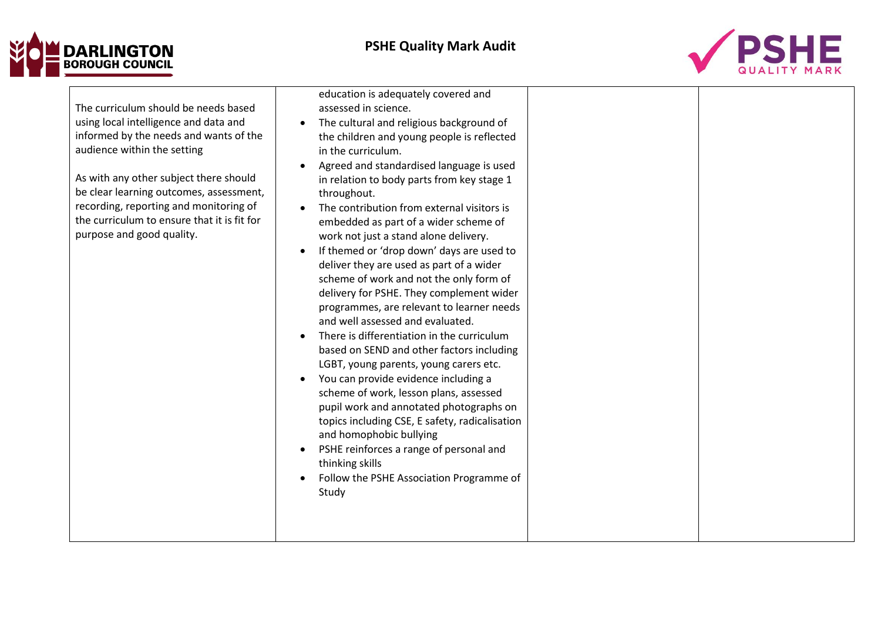## **DARLINGTON**<br>BOROUGH COUNCIL



| The curriculum should be needs based<br>using local intelligence and data and<br>informed by the needs and wants of the<br>audience within the setting<br>As with any other subject there should<br>be clear learning outcomes, assessment,<br>recording, reporting and monitoring of<br>the curriculum to ensure that it is fit for<br>purpose and good quality. | assessed in science.<br>The cultural and religious background of<br>$\bullet$<br>the children and young people is reflected<br>in the curriculum.<br>Agreed and standardised language is used<br>in relation to body parts from key stage 1<br>throughout.<br>The contribution from external visitors is<br>embedded as part of a wider scheme of<br>work not just a stand alone delivery.<br>If themed or 'drop down' days are used to<br>deliver they are used as part of a wider<br>scheme of work and not the only form of<br>delivery for PSHE. They complement wider<br>programmes, are relevant to learner needs<br>and well assessed and evaluated.<br>There is differentiation in the curriculum<br>based on SEND and other factors including<br>LGBT, young parents, young carers etc.<br>You can provide evidence including a<br>scheme of work, lesson plans, assessed<br>pupil work and annotated photographs on<br>topics including CSE, E safety, radicalisation<br>and homophobic bullying<br>PSHE reinforces a range of personal and<br>$\bullet$<br>thinking skills<br>Follow the PSHE Association Programme of<br>Study |  |  |
|-------------------------------------------------------------------------------------------------------------------------------------------------------------------------------------------------------------------------------------------------------------------------------------------------------------------------------------------------------------------|--------------------------------------------------------------------------------------------------------------------------------------------------------------------------------------------------------------------------------------------------------------------------------------------------------------------------------------------------------------------------------------------------------------------------------------------------------------------------------------------------------------------------------------------------------------------------------------------------------------------------------------------------------------------------------------------------------------------------------------------------------------------------------------------------------------------------------------------------------------------------------------------------------------------------------------------------------------------------------------------------------------------------------------------------------------------------------------------------------------------------------------------|--|--|
|-------------------------------------------------------------------------------------------------------------------------------------------------------------------------------------------------------------------------------------------------------------------------------------------------------------------------------------------------------------------|--------------------------------------------------------------------------------------------------------------------------------------------------------------------------------------------------------------------------------------------------------------------------------------------------------------------------------------------------------------------------------------------------------------------------------------------------------------------------------------------------------------------------------------------------------------------------------------------------------------------------------------------------------------------------------------------------------------------------------------------------------------------------------------------------------------------------------------------------------------------------------------------------------------------------------------------------------------------------------------------------------------------------------------------------------------------------------------------------------------------------------------------|--|--|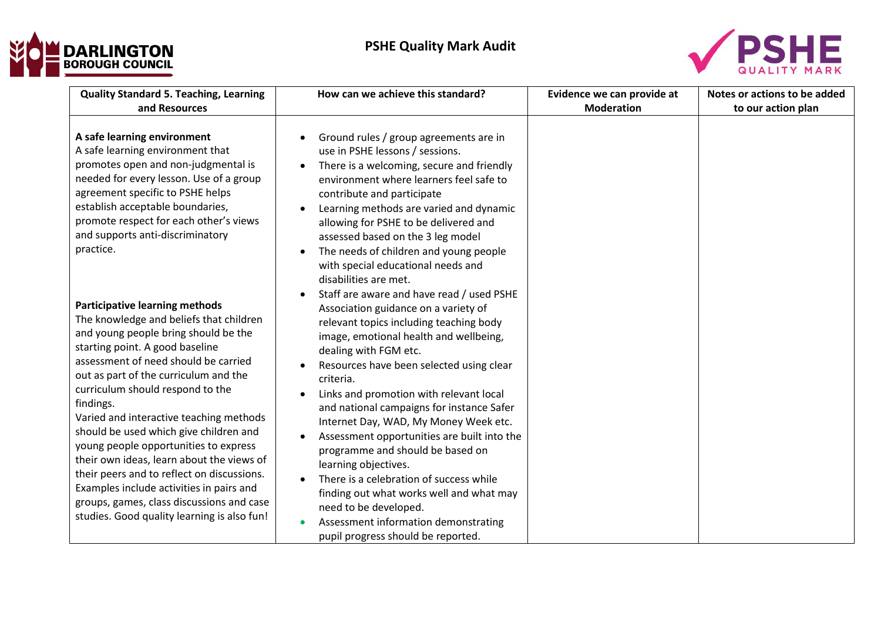



| <b>Quality Standard 5. Teaching, Learning</b><br>and Resources                                                                                                                                                                                                                                                                                                                                                                                                                                                                                                                                                                                                 | How can we achieve this standard?                                                                                                                                                                                                                                                                                                                                                                                                                                                                                                                                                                                                                                                                                                                                   | Evidence we can provide at<br><b>Moderation</b> | Notes or actions to be added<br>to our action plan |
|----------------------------------------------------------------------------------------------------------------------------------------------------------------------------------------------------------------------------------------------------------------------------------------------------------------------------------------------------------------------------------------------------------------------------------------------------------------------------------------------------------------------------------------------------------------------------------------------------------------------------------------------------------------|---------------------------------------------------------------------------------------------------------------------------------------------------------------------------------------------------------------------------------------------------------------------------------------------------------------------------------------------------------------------------------------------------------------------------------------------------------------------------------------------------------------------------------------------------------------------------------------------------------------------------------------------------------------------------------------------------------------------------------------------------------------------|-------------------------------------------------|----------------------------------------------------|
| A safe learning environment<br>A safe learning environment that<br>promotes open and non-judgmental is<br>needed for every lesson. Use of a group<br>agreement specific to PSHE helps<br>establish acceptable boundaries,<br>promote respect for each other's views<br>and supports anti-discriminatory<br>practice.                                                                                                                                                                                                                                                                                                                                           | Ground rules / group agreements are in<br>use in PSHE lessons / sessions.<br>There is a welcoming, secure and friendly<br>$\bullet$<br>environment where learners feel safe to<br>contribute and participate<br>Learning methods are varied and dynamic<br>$\bullet$<br>allowing for PSHE to be delivered and<br>assessed based on the 3 leg model<br>The needs of children and young people<br>$\bullet$<br>with special educational needs and<br>disabilities are met.                                                                                                                                                                                                                                                                                            |                                                 |                                                    |
| <b>Participative learning methods</b><br>The knowledge and beliefs that children<br>and young people bring should be the<br>starting point. A good baseline<br>assessment of need should be carried<br>out as part of the curriculum and the<br>curriculum should respond to the<br>findings.<br>Varied and interactive teaching methods<br>should be used which give children and<br>young people opportunities to express<br>their own ideas, learn about the views of<br>their peers and to reflect on discussions.<br>Examples include activities in pairs and<br>groups, games, class discussions and case<br>studies. Good quality learning is also fun! | Staff are aware and have read / used PSHE<br>$\bullet$<br>Association guidance on a variety of<br>relevant topics including teaching body<br>image, emotional health and wellbeing,<br>dealing with FGM etc.<br>Resources have been selected using clear<br>criteria.<br>Links and promotion with relevant local<br>$\bullet$<br>and national campaigns for instance Safer<br>Internet Day, WAD, My Money Week etc.<br>Assessment opportunities are built into the<br>$\bullet$<br>programme and should be based on<br>learning objectives.<br>There is a celebration of success while<br>$\bullet$<br>finding out what works well and what may<br>need to be developed.<br>Assessment information demonstrating<br>$\bullet$<br>pupil progress should be reported. |                                                 |                                                    |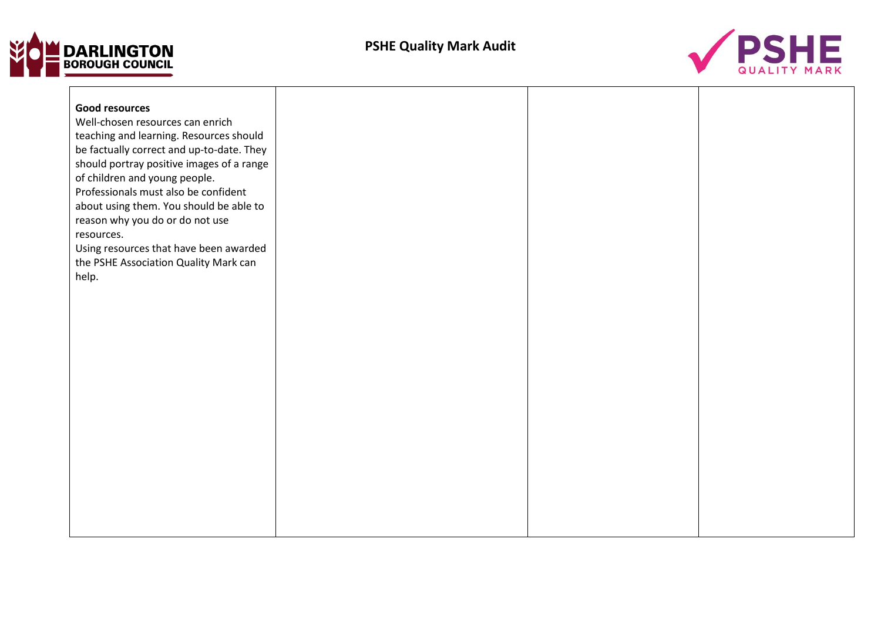



| <b>Good resources</b>                                                                |  |  |
|--------------------------------------------------------------------------------------|--|--|
| Well-chosen resources can enrich                                                     |  |  |
| teaching and learning. Resources should<br>be factually correct and up-to-date. They |  |  |
| should portray positive images of a range                                            |  |  |
| of children and young people.                                                        |  |  |
| Professionals must also be confident                                                 |  |  |
| about using them. You should be able to                                              |  |  |
| reason why you do or do not use                                                      |  |  |
| resources.                                                                           |  |  |
| Using resources that have been awarded                                               |  |  |
| the PSHE Association Quality Mark can                                                |  |  |
| help.                                                                                |  |  |
|                                                                                      |  |  |
|                                                                                      |  |  |
|                                                                                      |  |  |
|                                                                                      |  |  |
|                                                                                      |  |  |
|                                                                                      |  |  |
|                                                                                      |  |  |
|                                                                                      |  |  |
|                                                                                      |  |  |
|                                                                                      |  |  |
|                                                                                      |  |  |
|                                                                                      |  |  |
|                                                                                      |  |  |
|                                                                                      |  |  |
|                                                                                      |  |  |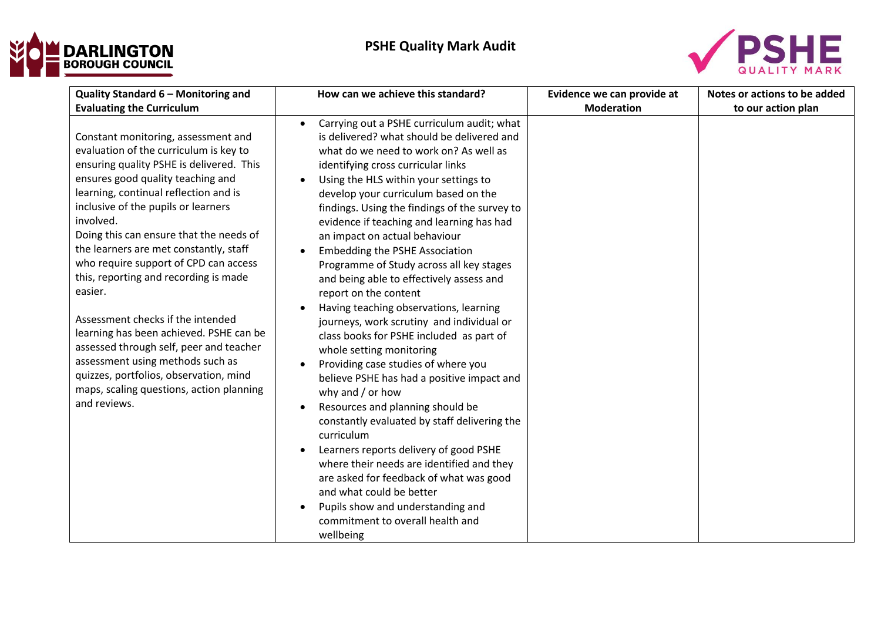



| Quality Standard 6 - Monitoring and                                                                                                                                                                                                                                                                                                                                                                                                                                                                                                                                                                                                                                                                                | How can we achieve this standard?                                                                                                                                                                                                                                                                                                                                                                                                                                                                                                                                                                                                                                                                                                                                                                                                                                                                                                                                                                                                                                                                                                                                                                                                      | Evidence we can provide at | Notes or actions to be added |
|--------------------------------------------------------------------------------------------------------------------------------------------------------------------------------------------------------------------------------------------------------------------------------------------------------------------------------------------------------------------------------------------------------------------------------------------------------------------------------------------------------------------------------------------------------------------------------------------------------------------------------------------------------------------------------------------------------------------|----------------------------------------------------------------------------------------------------------------------------------------------------------------------------------------------------------------------------------------------------------------------------------------------------------------------------------------------------------------------------------------------------------------------------------------------------------------------------------------------------------------------------------------------------------------------------------------------------------------------------------------------------------------------------------------------------------------------------------------------------------------------------------------------------------------------------------------------------------------------------------------------------------------------------------------------------------------------------------------------------------------------------------------------------------------------------------------------------------------------------------------------------------------------------------------------------------------------------------------|----------------------------|------------------------------|
| <b>Evaluating the Curriculum</b>                                                                                                                                                                                                                                                                                                                                                                                                                                                                                                                                                                                                                                                                                   |                                                                                                                                                                                                                                                                                                                                                                                                                                                                                                                                                                                                                                                                                                                                                                                                                                                                                                                                                                                                                                                                                                                                                                                                                                        | <b>Moderation</b>          | to our action plan           |
| Constant monitoring, assessment and<br>evaluation of the curriculum is key to<br>ensuring quality PSHE is delivered. This<br>ensures good quality teaching and<br>learning, continual reflection and is<br>inclusive of the pupils or learners<br>involved.<br>Doing this can ensure that the needs of<br>the learners are met constantly, staff<br>who require support of CPD can access<br>this, reporting and recording is made<br>easier.<br>Assessment checks if the intended<br>learning has been achieved. PSHE can be<br>assessed through self, peer and teacher<br>assessment using methods such as<br>quizzes, portfolios, observation, mind<br>maps, scaling questions, action planning<br>and reviews. | Carrying out a PSHE curriculum audit; what<br>is delivered? what should be delivered and<br>what do we need to work on? As well as<br>identifying cross curricular links<br>Using the HLS within your settings to<br>develop your curriculum based on the<br>findings. Using the findings of the survey to<br>evidence if teaching and learning has had<br>an impact on actual behaviour<br><b>Embedding the PSHE Association</b><br>Programme of Study across all key stages<br>and being able to effectively assess and<br>report on the content<br>Having teaching observations, learning<br>$\bullet$<br>journeys, work scrutiny and individual or<br>class books for PSHE included as part of<br>whole setting monitoring<br>Providing case studies of where you<br>believe PSHE has had a positive impact and<br>why and $/$ or how<br>Resources and planning should be<br>$\bullet$<br>constantly evaluated by staff delivering the<br>curriculum<br>Learners reports delivery of good PSHE<br>$\bullet$<br>where their needs are identified and they<br>are asked for feedback of what was good<br>and what could be better<br>Pupils show and understanding and<br>$\bullet$<br>commitment to overall health and<br>wellbeing |                            |                              |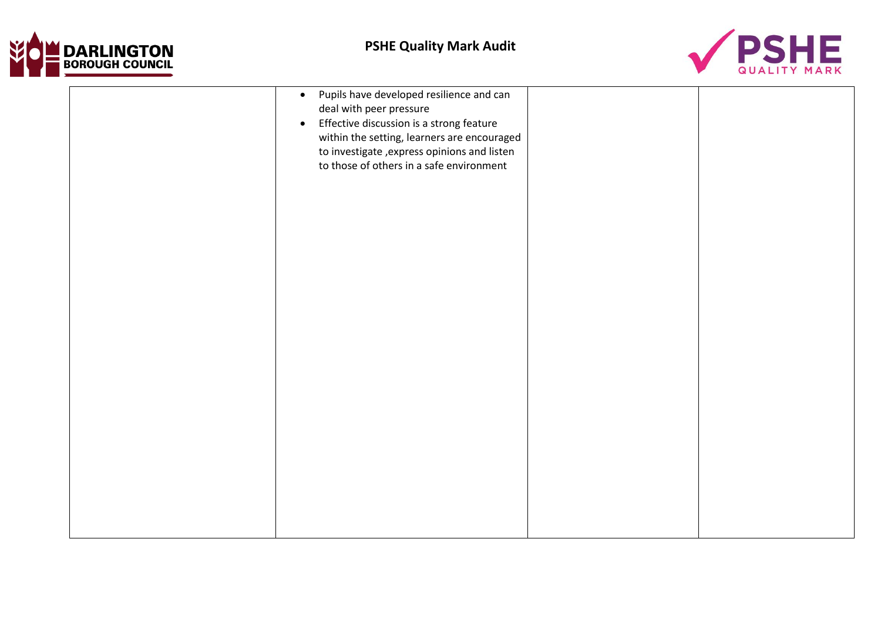



| Pupils have developed resilience and can<br>$\bullet$<br>deal with peer pressure<br>Effective discussion is a strong feature<br>$\bullet$<br>within the setting, learners are encouraged<br>to investigate, express opinions and listen<br>to those of others in a safe environment |  |
|-------------------------------------------------------------------------------------------------------------------------------------------------------------------------------------------------------------------------------------------------------------------------------------|--|
|                                                                                                                                                                                                                                                                                     |  |
|                                                                                                                                                                                                                                                                                     |  |
|                                                                                                                                                                                                                                                                                     |  |
|                                                                                                                                                                                                                                                                                     |  |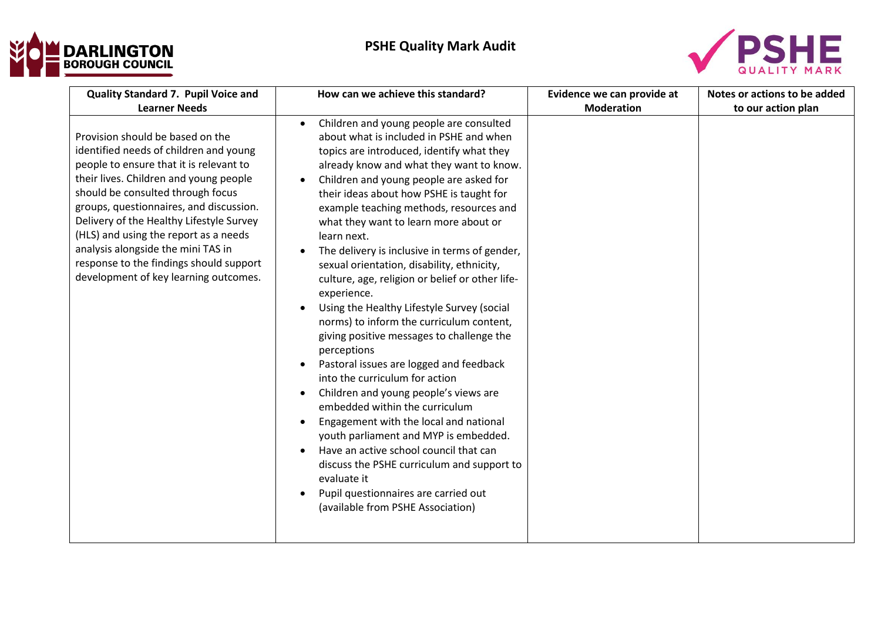



| Quality Standard 7. Pupil Voice and                                                                                                                                                                                                                                                                                                                                                                                                                                                    | How can we achieve this standard?                                                                                                                                                                                                                                                                                                                                                                                                                                                                                                                                                                                                                                                                                                                                                                                                                                                                                                                  | Evidence we can provide at | Notes or actions to be added |
|----------------------------------------------------------------------------------------------------------------------------------------------------------------------------------------------------------------------------------------------------------------------------------------------------------------------------------------------------------------------------------------------------------------------------------------------------------------------------------------|----------------------------------------------------------------------------------------------------------------------------------------------------------------------------------------------------------------------------------------------------------------------------------------------------------------------------------------------------------------------------------------------------------------------------------------------------------------------------------------------------------------------------------------------------------------------------------------------------------------------------------------------------------------------------------------------------------------------------------------------------------------------------------------------------------------------------------------------------------------------------------------------------------------------------------------------------|----------------------------|------------------------------|
| <b>Learner Needs</b><br>Provision should be based on the<br>identified needs of children and young<br>people to ensure that it is relevant to<br>their lives. Children and young people<br>should be consulted through focus<br>groups, questionnaires, and discussion.<br>Delivery of the Healthy Lifestyle Survey<br>(HLS) and using the report as a needs<br>analysis alongside the mini TAS in<br>response to the findings should support<br>development of key learning outcomes. | Children and young people are consulted<br>$\bullet$<br>about what is included in PSHE and when<br>topics are introduced, identify what they<br>already know and what they want to know.<br>Children and young people are asked for<br>$\bullet$<br>their ideas about how PSHE is taught for<br>example teaching methods, resources and<br>what they want to learn more about or<br>learn next.<br>The delivery is inclusive in terms of gender,<br>sexual orientation, disability, ethnicity,<br>culture, age, religion or belief or other life-<br>experience.<br>Using the Healthy Lifestyle Survey (social<br>norms) to inform the curriculum content,<br>giving positive messages to challenge the<br>perceptions<br>Pastoral issues are logged and feedback<br>$\bullet$<br>into the curriculum for action<br>Children and young people's views are<br>$\bullet$<br>embedded within the curriculum<br>Engagement with the local and national | <b>Moderation</b>          | to our action plan           |
|                                                                                                                                                                                                                                                                                                                                                                                                                                                                                        | youth parliament and MYP is embedded.<br>Have an active school council that can<br>$\bullet$<br>discuss the PSHE curriculum and support to<br>evaluate it<br>Pupil questionnaires are carried out<br>(available from PSHE Association)                                                                                                                                                                                                                                                                                                                                                                                                                                                                                                                                                                                                                                                                                                             |                            |                              |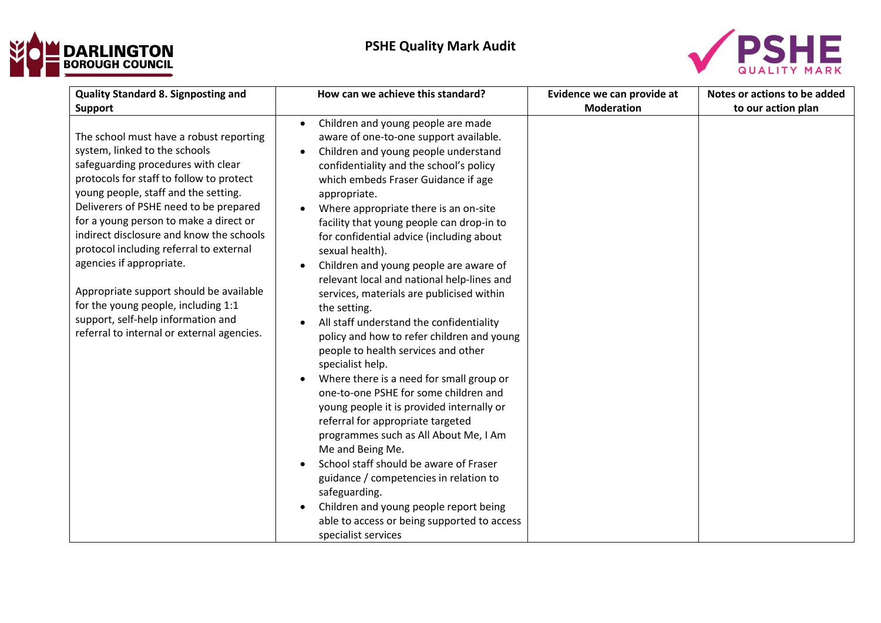



| <b>Quality Standard 8. Signposting and</b>                                                                                                                                                                                                                                                                                                                                                                                                                                                                                                                                      | How can we achieve this standard?                                                                                                                                                                                                                                                                                                                                                                                                                                                                                                                                                                                                                                                                                                                                                                                                                                                                                                                                                                                                                                                                                                                                                                  | Evidence we can provide at | Notes or actions to be added |
|---------------------------------------------------------------------------------------------------------------------------------------------------------------------------------------------------------------------------------------------------------------------------------------------------------------------------------------------------------------------------------------------------------------------------------------------------------------------------------------------------------------------------------------------------------------------------------|----------------------------------------------------------------------------------------------------------------------------------------------------------------------------------------------------------------------------------------------------------------------------------------------------------------------------------------------------------------------------------------------------------------------------------------------------------------------------------------------------------------------------------------------------------------------------------------------------------------------------------------------------------------------------------------------------------------------------------------------------------------------------------------------------------------------------------------------------------------------------------------------------------------------------------------------------------------------------------------------------------------------------------------------------------------------------------------------------------------------------------------------------------------------------------------------------|----------------------------|------------------------------|
| <b>Support</b>                                                                                                                                                                                                                                                                                                                                                                                                                                                                                                                                                                  |                                                                                                                                                                                                                                                                                                                                                                                                                                                                                                                                                                                                                                                                                                                                                                                                                                                                                                                                                                                                                                                                                                                                                                                                    | <b>Moderation</b>          | to our action plan           |
| The school must have a robust reporting<br>system, linked to the schools<br>safeguarding procedures with clear<br>protocols for staff to follow to protect<br>young people, staff and the setting.<br>Deliverers of PSHE need to be prepared<br>for a young person to make a direct or<br>indirect disclosure and know the schools<br>protocol including referral to external<br>agencies if appropriate.<br>Appropriate support should be available<br>for the young people, including 1:1<br>support, self-help information and<br>referral to internal or external agencies. | Children and young people are made<br>$\bullet$<br>aware of one-to-one support available.<br>Children and young people understand<br>confidentiality and the school's policy<br>which embeds Fraser Guidance if age<br>appropriate.<br>Where appropriate there is an on-site<br>facility that young people can drop-in to<br>for confidential advice (including about<br>sexual health).<br>Children and young people are aware of<br>$\bullet$<br>relevant local and national help-lines and<br>services, materials are publicised within<br>the setting.<br>All staff understand the confidentiality<br>policy and how to refer children and young<br>people to health services and other<br>specialist help.<br>Where there is a need for small group or<br>one-to-one PSHE for some children and<br>young people it is provided internally or<br>referral for appropriate targeted<br>programmes such as All About Me, I Am<br>Me and Being Me.<br>School staff should be aware of Fraser<br>$\bullet$<br>guidance / competencies in relation to<br>safeguarding.<br>Children and young people report being<br>$\bullet$<br>able to access or being supported to access<br>specialist services |                            |                              |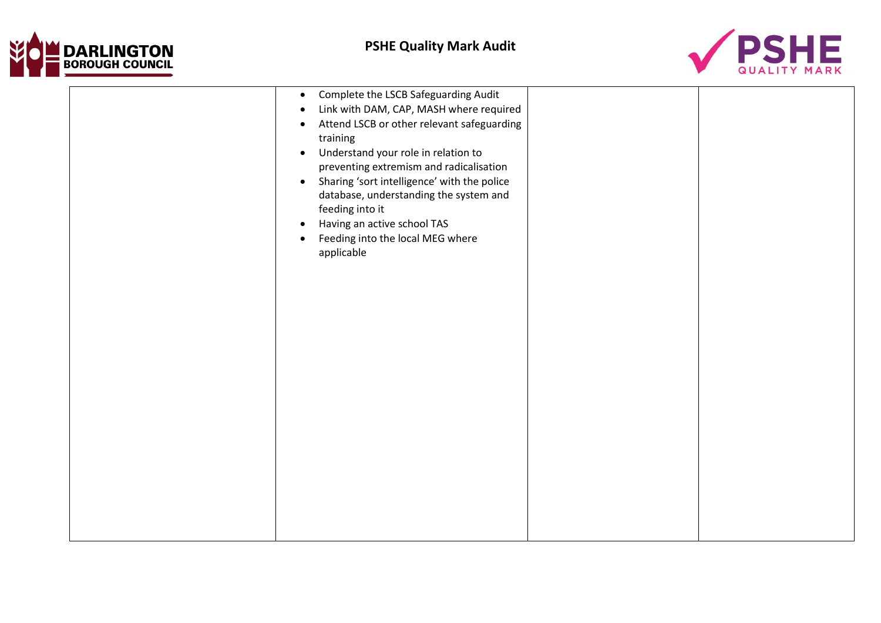



| Complete the LSCB Safeguarding Audit<br>$\bullet$<br>Link with DAM, CAP, MASH where required<br>٠<br>Attend LSCB or other relevant safeguarding<br>٠<br>training<br>Understand your role in relation to<br>$\bullet$<br>preventing extremism and radicalisation<br>Sharing 'sort intelligence' with the police<br>$\bullet$<br>database, understanding the system and<br>feeding into it<br>Having an active school TAS<br>٠<br>Feeding into the local MEG where<br>٠<br>applicable |  |
|-------------------------------------------------------------------------------------------------------------------------------------------------------------------------------------------------------------------------------------------------------------------------------------------------------------------------------------------------------------------------------------------------------------------------------------------------------------------------------------|--|
|                                                                                                                                                                                                                                                                                                                                                                                                                                                                                     |  |
|                                                                                                                                                                                                                                                                                                                                                                                                                                                                                     |  |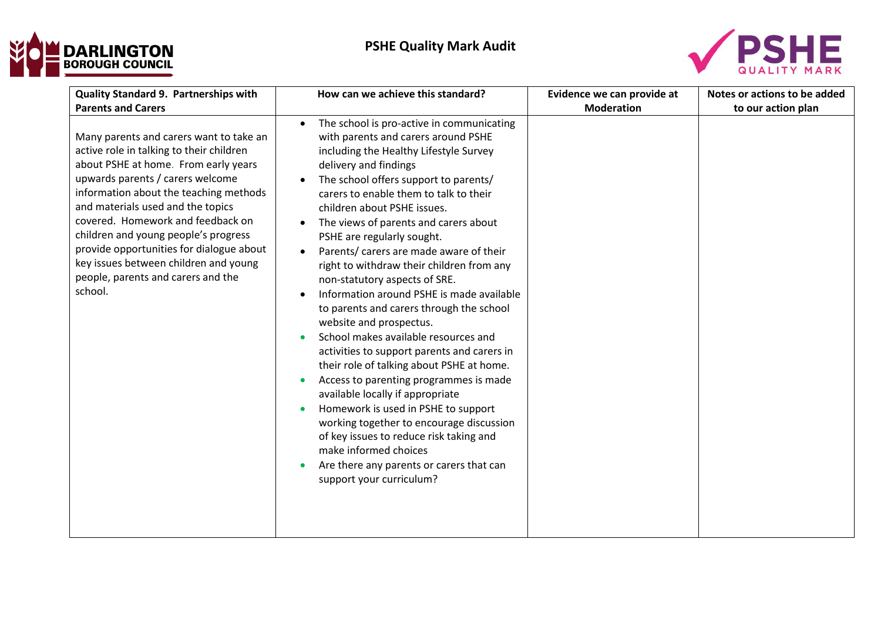



| Quality Standard 9. Partnerships with                                                                                                                                                                                                                                                                                                                                                                                                                             | How can we achieve this standard?                                                                                                                                                                                                                                                                                                                                                                                                                                                                                                                                                                                                                                                                                                                                                                                                                                                                                                                                                                                                                                                                                                     | Evidence we can provide at | Notes or actions to be added |
|-------------------------------------------------------------------------------------------------------------------------------------------------------------------------------------------------------------------------------------------------------------------------------------------------------------------------------------------------------------------------------------------------------------------------------------------------------------------|---------------------------------------------------------------------------------------------------------------------------------------------------------------------------------------------------------------------------------------------------------------------------------------------------------------------------------------------------------------------------------------------------------------------------------------------------------------------------------------------------------------------------------------------------------------------------------------------------------------------------------------------------------------------------------------------------------------------------------------------------------------------------------------------------------------------------------------------------------------------------------------------------------------------------------------------------------------------------------------------------------------------------------------------------------------------------------------------------------------------------------------|----------------------------|------------------------------|
| <b>Parents and Carers</b>                                                                                                                                                                                                                                                                                                                                                                                                                                         |                                                                                                                                                                                                                                                                                                                                                                                                                                                                                                                                                                                                                                                                                                                                                                                                                                                                                                                                                                                                                                                                                                                                       | <b>Moderation</b>          | to our action plan           |
| Many parents and carers want to take an<br>active role in talking to their children<br>about PSHE at home. From early years<br>upwards parents / carers welcome<br>information about the teaching methods<br>and materials used and the topics<br>covered. Homework and feedback on<br>children and young people's progress<br>provide opportunities for dialogue about<br>key issues between children and young<br>people, parents and carers and the<br>school. | The school is pro-active in communicating<br>$\bullet$<br>with parents and carers around PSHE<br>including the Healthy Lifestyle Survey<br>delivery and findings<br>The school offers support to parents/<br>carers to enable them to talk to their<br>children about PSHE issues.<br>The views of parents and carers about<br>$\bullet$<br>PSHE are regularly sought.<br>Parents/ carers are made aware of their<br>$\bullet$<br>right to withdraw their children from any<br>non-statutory aspects of SRE.<br>Information around PSHE is made available<br>$\bullet$<br>to parents and carers through the school<br>website and prospectus.<br>School makes available resources and<br>$\bullet$<br>activities to support parents and carers in<br>their role of talking about PSHE at home.<br>Access to parenting programmes is made<br>$\bullet$<br>available locally if appropriate<br>Homework is used in PSHE to support<br>$\bullet$<br>working together to encourage discussion<br>of key issues to reduce risk taking and<br>make informed choices<br>Are there any parents or carers that can<br>support your curriculum? |                            |                              |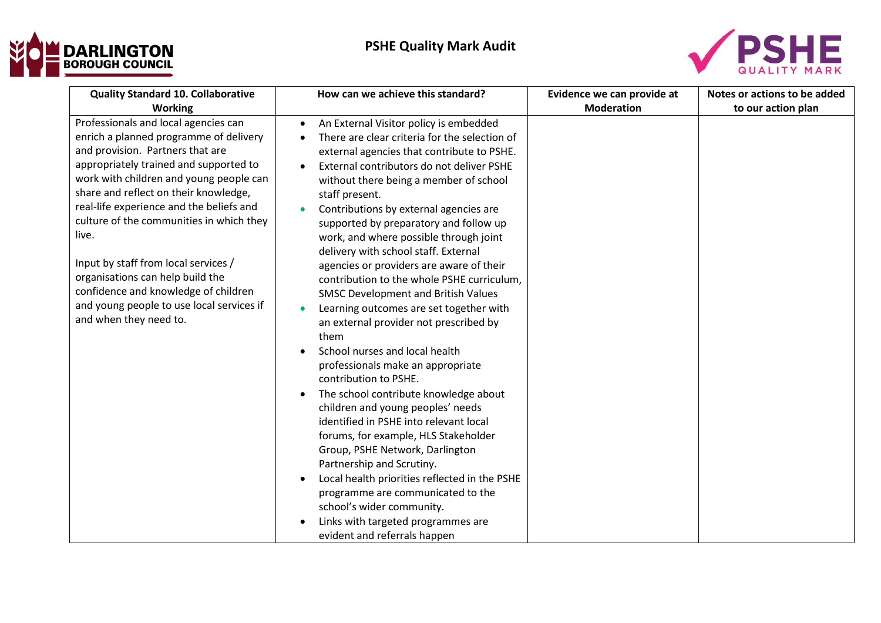



| <b>Quality Standard 10. Collaborative</b>                                                                                                                                                                                                                                                                                                                                                                                                                                                                                                               | How can we achieve this standard?                                                                                                                                                                                                                                                                                                                                                                                                                                                                                                                                                                                                                                                          | Evidence we can provide at | Notes or actions to be added |
|---------------------------------------------------------------------------------------------------------------------------------------------------------------------------------------------------------------------------------------------------------------------------------------------------------------------------------------------------------------------------------------------------------------------------------------------------------------------------------------------------------------------------------------------------------|--------------------------------------------------------------------------------------------------------------------------------------------------------------------------------------------------------------------------------------------------------------------------------------------------------------------------------------------------------------------------------------------------------------------------------------------------------------------------------------------------------------------------------------------------------------------------------------------------------------------------------------------------------------------------------------------|----------------------------|------------------------------|
| Working<br>Professionals and local agencies can<br>enrich a planned programme of delivery<br>and provision. Partners that are<br>appropriately trained and supported to<br>work with children and young people can<br>share and reflect on their knowledge,<br>real-life experience and the beliefs and<br>culture of the communities in which they<br>live.<br>Input by staff from local services /<br>organisations can help build the<br>confidence and knowledge of children<br>and young people to use local services if<br>and when they need to. | An External Visitor policy is embedded<br>$\bullet$<br>There are clear criteria for the selection of<br>external agencies that contribute to PSHE.<br>External contributors do not deliver PSHE<br>$\bullet$<br>without there being a member of school<br>staff present.<br>Contributions by external agencies are<br>$\bullet$<br>supported by preparatory and follow up<br>work, and where possible through joint<br>delivery with school staff. External<br>agencies or providers are aware of their<br>contribution to the whole PSHE curriculum,                                                                                                                                      | <b>Moderation</b>          | to our action plan           |
|                                                                                                                                                                                                                                                                                                                                                                                                                                                                                                                                                         | <b>SMSC Development and British Values</b><br>Learning outcomes are set together with<br>$\bullet$<br>an external provider not prescribed by<br>them<br>School nurses and local health<br>professionals make an appropriate<br>contribution to PSHE.<br>The school contribute knowledge about<br>$\bullet$<br>children and young peoples' needs<br>identified in PSHE into relevant local<br>forums, for example, HLS Stakeholder<br>Group, PSHE Network, Darlington<br>Partnership and Scrutiny.<br>Local health priorities reflected in the PSHE<br>programme are communicated to the<br>school's wider community.<br>Links with targeted programmes are<br>evident and referrals happen |                            |                              |